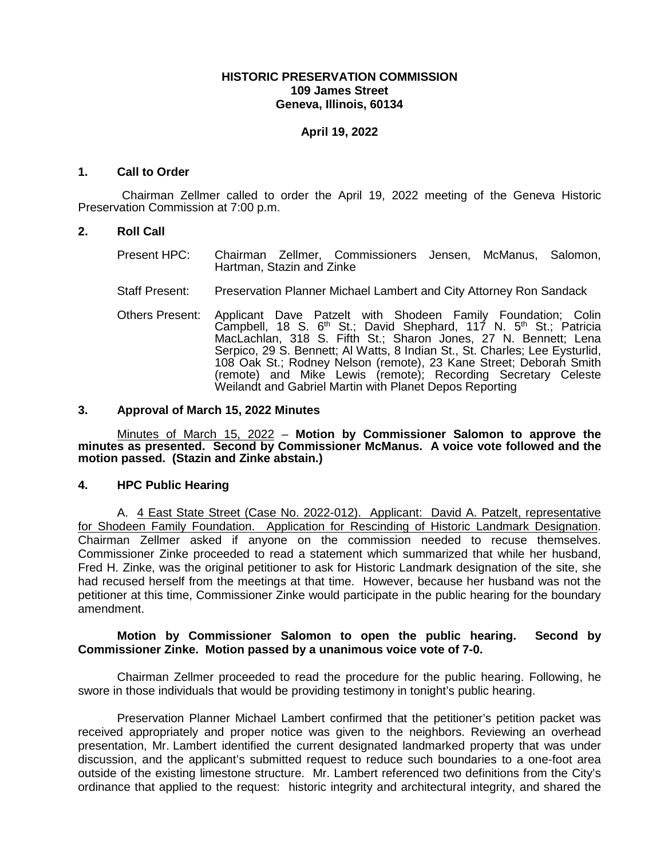## **HISTORIC PRESERVATION COMMISSION 109 James Street Geneva, Illinois, 60134**

### **April 19, 2022**

#### **1. Call to Order**

Chairman Zellmer called to order the April 19, 2022 meeting of the Geneva Historic Preservation Commission at 7:00 p.m.

#### **2. Roll Call**

- Present HPC: Chairman Zellmer, Commissioners Jensen, McManus, Salomon, Hartman, Stazin and Zinke
- Staff Present: Preservation Planner Michael Lambert and City Attorney Ron Sandack
- Others Present: Applicant Dave Patzelt with Shodeen Family Foundation; Colin Campbell, 18 S.  $6<sup>th</sup>$  St.; David Shephard, 117 N.  $5<sup>th</sup>$  St.; Patricia MacLachlan, 318 S. Fifth St.; Sharon Jones, 27 N. Bennett; Lena Serpico, 29 S. Bennett; Al Watts, 8 Indian St., St. Charles; Lee Eysturlid, 108 Oak St.; Rodney Nelson (remote), 23 Kane Street; Deborah Smith (remote) and Mike Lewis (remote); Recording Secretary Celeste Weilandt and Gabriel Martin with Planet Depos Reporting

#### **3. Approval of March 15, 2022 Minutes**

Minutes of March 15, 2022 – **Motion by Commissioner Salomon to approve the minutes as presented. Second by Commissioner McManus. A voice vote followed and the motion passed. (Stazin and Zinke abstain.)**

#### **4. HPC Public Hearing**

A. 4 East State Street (Case No. 2022-012). Applicant: David A. Patzelt, representative for Shodeen Family Foundation. Application for Rescinding of Historic Landmark Designation. Chairman Zellmer asked if anyone on the commission needed to recuse themselves. Commissioner Zinke proceeded to read a statement which summarized that while her husband, Fred H. Zinke, was the original petitioner to ask for Historic Landmark designation of the site, she had recused herself from the meetings at that time. However, because her husband was not the petitioner at this time, Commissioner Zinke would participate in the public hearing for the boundary amendment.

### **Motion by Commissioner Salomon to open the public hearing. Second by Commissioner Zinke. Motion passed by a unanimous voice vote of 7-0.**

Chairman Zellmer proceeded to read the procedure for the public hearing. Following, he swore in those individuals that would be providing testimony in tonight's public hearing.

Preservation Planner Michael Lambert confirmed that the petitioner's petition packet was received appropriately and proper notice was given to the neighbors. Reviewing an overhead presentation, Mr. Lambert identified the current designated landmarked property that was under discussion, and the applicant's submitted request to reduce such boundaries to a one-foot area outside of the existing limestone structure. Mr. Lambert referenced two definitions from the City's ordinance that applied to the request: historic integrity and architectural integrity, and shared the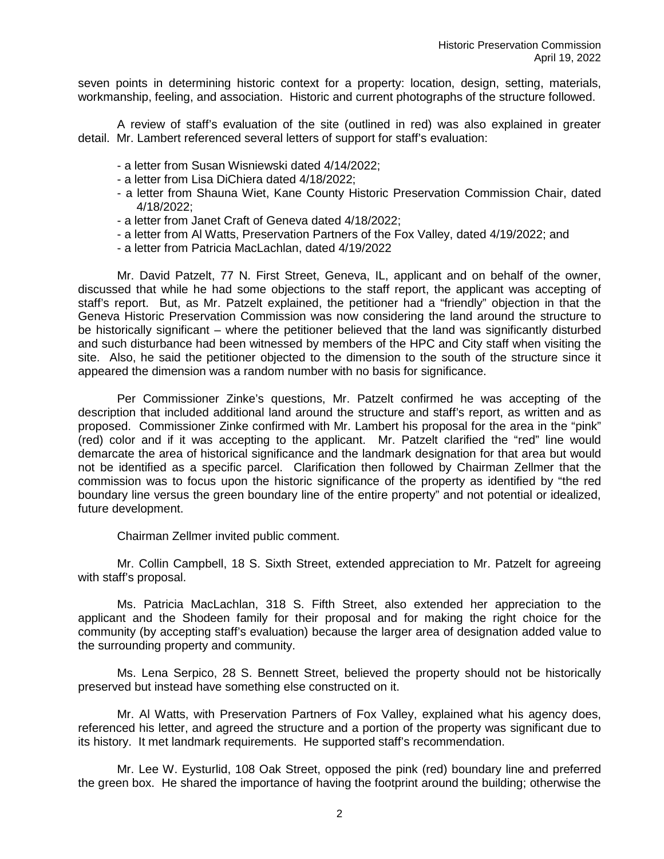seven points in determining historic context for a property: location, design, setting, materials, workmanship, feeling, and association. Historic and current photographs of the structure followed.

A review of staff's evaluation of the site (outlined in red) was also explained in greater detail. Mr. Lambert referenced several letters of support for staff's evaluation:

- a letter from Susan Wisniewski dated 4/14/2022;
- a letter from Lisa DiChiera dated 4/18/2022;
- a letter from Shauna Wiet, Kane County Historic Preservation Commission Chair, dated 4/18/2022;
- a letter from Janet Craft of Geneva dated 4/18/2022;
- a letter from Al Watts, Preservation Partners of the Fox Valley, dated 4/19/2022; and
- a letter from Patricia MacLachlan, dated 4/19/2022

Mr. David Patzelt, 77 N. First Street, Geneva, IL, applicant and on behalf of the owner, discussed that while he had some objections to the staff report, the applicant was accepting of staff's report. But, as Mr. Patzelt explained, the petitioner had a "friendly" objection in that the Geneva Historic Preservation Commission was now considering the land around the structure to be historically significant – where the petitioner believed that the land was significantly disturbed and such disturbance had been witnessed by members of the HPC and City staff when visiting the site. Also, he said the petitioner objected to the dimension to the south of the structure since it appeared the dimension was a random number with no basis for significance.

Per Commissioner Zinke's questions, Mr. Patzelt confirmed he was accepting of the description that included additional land around the structure and staff's report, as written and as proposed. Commissioner Zinke confirmed with Mr. Lambert his proposal for the area in the "pink" (red) color and if it was accepting to the applicant. Mr. Patzelt clarified the "red" line would demarcate the area of historical significance and the landmark designation for that area but would not be identified as a specific parcel. Clarification then followed by Chairman Zellmer that the commission was to focus upon the historic significance of the property as identified by "the red boundary line versus the green boundary line of the entire property" and not potential or idealized, future development.

Chairman Zellmer invited public comment.

Mr. Collin Campbell, 18 S. Sixth Street, extended appreciation to Mr. Patzelt for agreeing with staff's proposal.

Ms. Patricia MacLachlan, 318 S. Fifth Street, also extended her appreciation to the applicant and the Shodeen family for their proposal and for making the right choice for the community (by accepting staff's evaluation) because the larger area of designation added value to the surrounding property and community.

Ms. Lena Serpico, 28 S. Bennett Street, believed the property should not be historically preserved but instead have something else constructed on it.

Mr. Al Watts, with Preservation Partners of Fox Valley, explained what his agency does, referenced his letter, and agreed the structure and a portion of the property was significant due to its history. It met landmark requirements. He supported staff's recommendation.

Mr. Lee W. Eysturlid, 108 Oak Street, opposed the pink (red) boundary line and preferred the green box. He shared the importance of having the footprint around the building; otherwise the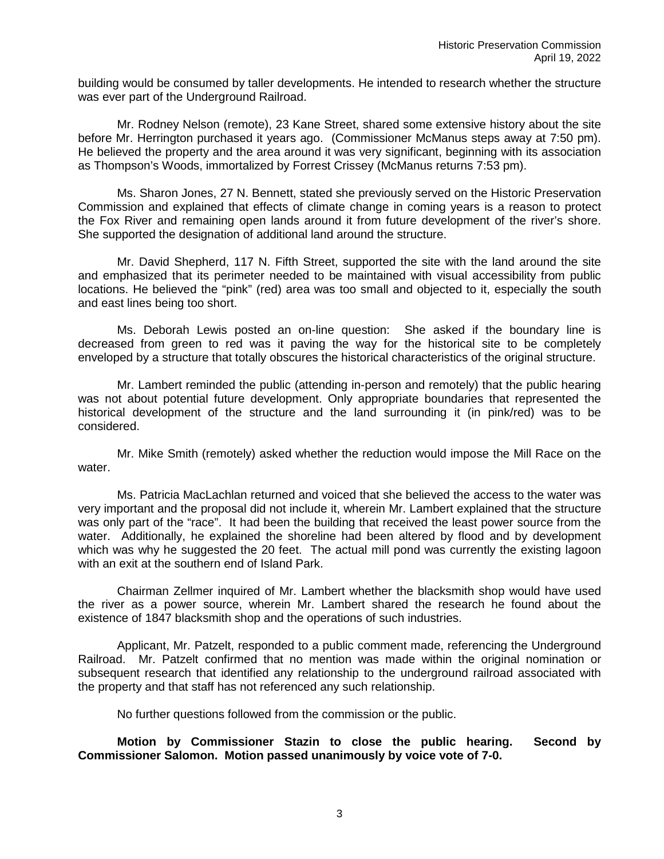building would be consumed by taller developments. He intended to research whether the structure was ever part of the Underground Railroad.

Mr. Rodney Nelson (remote), 23 Kane Street, shared some extensive history about the site before Mr. Herrington purchased it years ago. (Commissioner McManus steps away at 7:50 pm). He believed the property and the area around it was very significant, beginning with its association as Thompson's Woods, immortalized by Forrest Crissey (McManus returns 7:53 pm).

Ms. Sharon Jones, 27 N. Bennett, stated she previously served on the Historic Preservation Commission and explained that effects of climate change in coming years is a reason to protect the Fox River and remaining open lands around it from future development of the river's shore. She supported the designation of additional land around the structure.

Mr. David Shepherd, 117 N. Fifth Street, supported the site with the land around the site and emphasized that its perimeter needed to be maintained with visual accessibility from public locations. He believed the "pink" (red) area was too small and objected to it, especially the south and east lines being too short.

Ms. Deborah Lewis posted an on-line question: She asked if the boundary line is decreased from green to red was it paving the way for the historical site to be completely enveloped by a structure that totally obscures the historical characteristics of the original structure.

Mr. Lambert reminded the public (attending in-person and remotely) that the public hearing was not about potential future development. Only appropriate boundaries that represented the historical development of the structure and the land surrounding it (in pink/red) was to be considered.

Mr. Mike Smith (remotely) asked whether the reduction would impose the Mill Race on the water.

Ms. Patricia MacLachlan returned and voiced that she believed the access to the water was very important and the proposal did not include it, wherein Mr. Lambert explained that the structure was only part of the "race". It had been the building that received the least power source from the water. Additionally, he explained the shoreline had been altered by flood and by development which was why he suggested the 20 feet. The actual mill pond was currently the existing lagoon with an exit at the southern end of Island Park.

Chairman Zellmer inquired of Mr. Lambert whether the blacksmith shop would have used the river as a power source, wherein Mr. Lambert shared the research he found about the existence of 1847 blacksmith shop and the operations of such industries.

Applicant, Mr. Patzelt, responded to a public comment made, referencing the Underground Railroad. Mr. Patzelt confirmed that no mention was made within the original nomination or subsequent research that identified any relationship to the underground railroad associated with the property and that staff has not referenced any such relationship.

No further questions followed from the commission or the public.

**Motion by Commissioner Stazin to close the public hearing. Second by Commissioner Salomon. Motion passed unanimously by voice vote of 7-0.**